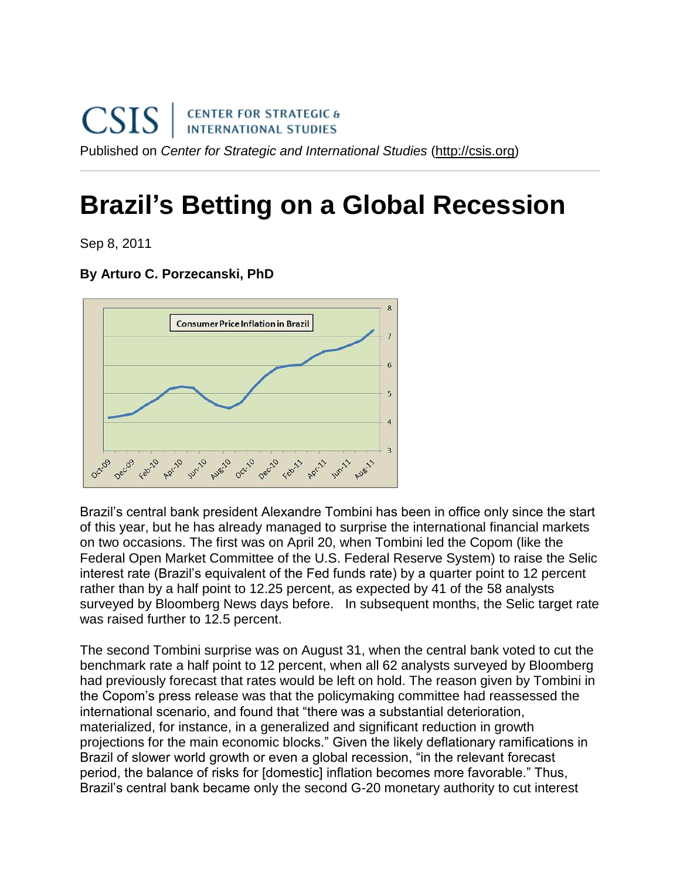## **Brazil's Betting on a Global Recession**

Sep 8, 2011

## **By Arturo C. Porzecanski, PhD**



Brazil's central bank president Alexandre Tombini has been in office only since the start of this year, but he has already managed to surprise the international financial markets on two occasions. The first was on April 20, when Tombini led the Copom (like the Federal Open Market Committee of the U.S. Federal Reserve System) to raise the Selic interest rate (Brazil's equivalent of the Fed funds rate) by a quarter point to 12 percent rather than by a half point to 12.25 percent, as expected by 41 of the 58 analysts surveyed by Bloomberg News days before. In subsequent months, the Selic target rate was raised further to 12.5 percent.

The second Tombini surprise was on August 31, when the central bank voted to cut the benchmark rate a half point to 12 percent, when all 62 analysts surveyed by Bloomberg had previously forecast that rates would be left on hold. The reason given by Tombini in the Copom's press release was that the policymaking committee had reassessed the international scenario, and found that "there was a substantial deterioration, materialized, for instance, in a generalized and significant reduction in growth projections for the main economic blocks.‖ Given the likely deflationary ramifications in Brazil of slower world growth or even a global recession, "in the relevant forecast period, the balance of risks for [domestic] inflation becomes more favorable." Thus, Brazil's central bank became only the second G-20 monetary authority to cut interest